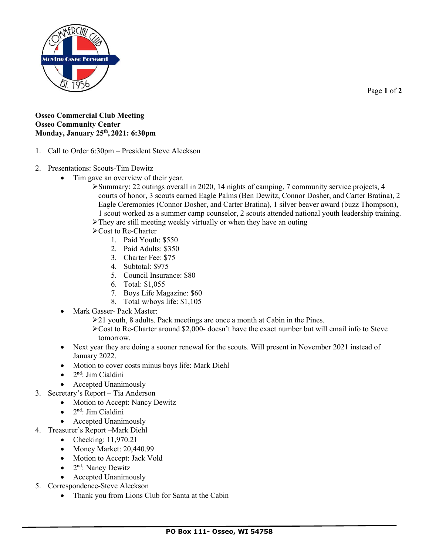

## **Osseo Commercial Club Meeting Osseo Community Center Monday, January 25th , 2021: 6:30pm**

- 1. Call to Order 6:30pm President Steve Aleckson
- 2. Presentations: Scouts-Tim Dewitz
	- Tim gave an overview of their year.
		- ➢Summary: 22 outings overall in 2020, 14 nights of camping, 7 community service projects, 4 courts of honor, 3 scouts earned Eagle Palms (Ben Dewitz, Connor Dosher, and Carter Bratina), 2 Eagle Ceremonies (Connor Dosher, and Carter Bratina), 1 silver beaver award (buzz Thompson), 1 scout worked as a summer camp counselor, 2 scouts attended national youth leadership training.
		- ➢They are still meeting weekly virtually or when they have an outing
		- ➢Cost to Re-Charter
			- 1. Paid Youth: \$550
			- 2. Paid Adults: \$350
			- 3. Charter Fee: \$75
			- 4. Subtotal: \$975
			- 5. Council Insurance: \$80
			- 6. Total: \$1,055
			- 7. Boys Life Magazine: \$60
			- 8. Total w/boys life: \$1,105
	- Mark Gasser- Pack Master:

➢21 youth, 8 adults. Pack meetings are once a month at Cabin in the Pines.

➢Cost to Re-Charter around \$2,000- doesn't have the exact number but will email info to Steve tomorrow.

- Next year they are doing a sooner renewal for the scouts. Will present in November 2021 instead of January 2022.
- Motion to cover costs minus boys life: Mark Diehl
- $\bullet$  2<sup>nd</sup>: Jim Cialdini
- Accepted Unanimously
- 3. Secretary's Report Tia Anderson
	- Motion to Accept: Nancy Dewitz
		- $\bullet$  2<sup>nd</sup>: Jim Cialdini
	- Accepted Unanimously
- 4. Treasurer's Report –Mark Diehl
	- Checking: 11,970.21
	- Money Market: 20,440.99
	- Motion to Accept: Jack Vold
	- $\bullet$  2<sup>nd</sup>: Nancy Dewitz
	- Accepted Unanimously
- 5. Correspondence-Steve Aleckson
	- Thank you from Lions Club for Santa at the Cabin